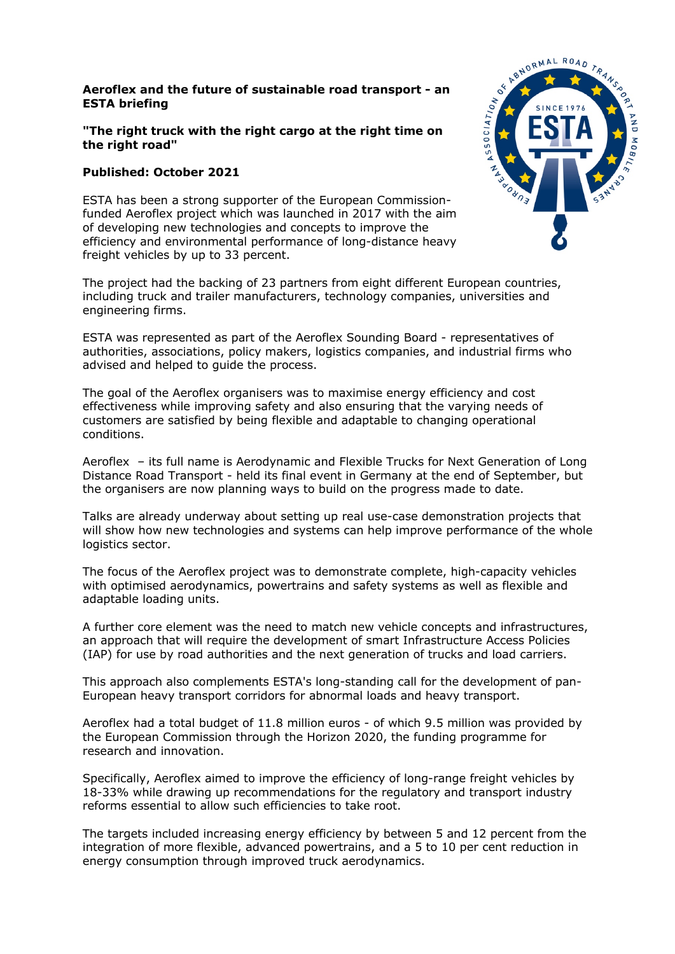## **Aeroflex and the future of sustainable road transport - an ESTA briefing**

## **"The right truck with the right cargo at the right time on the right road"**

## **Published: October 2021**

ESTA has been a strong supporter of the European Commissionfunded Aeroflex project which was launched in 2017 with the aim of developing new technologies and concepts to improve the efficiency and environmental performance of long-distance heavy freight vehicles by up to 33 percent.

The project had the backing of 23 partners from eight different European countries, including truck and trailer manufacturers, technology companies, universities and engineering firms.

ESTA was represented as part of the Aeroflex Sounding Board - representatives of authorities, associations, policy makers, logistics companies, and industrial firms who advised and helped to guide the process.

The goal of the Aeroflex organisers was to maximise energy efficiency and cost effectiveness while improving safety and also ensuring that the varying needs of customers are satisfied by being flexible and adaptable to changing operational conditions.

Aeroflex – its full name is Aerodynamic and Flexible Trucks for Next Generation of Long Distance Road Transport - held its final event in Germany at the end of September, but the organisers are now planning ways to build on the progress made to date.

Talks are already underway about setting up real use-case demonstration projects that will show how new technologies and systems can help improve performance of the whole logistics sector.

The focus of the Aeroflex project was to demonstrate complete, high-capacity vehicles with optimised aerodynamics, powertrains and safety systems as well as flexible and adaptable loading units.

A further core element was the need to match new vehicle concepts and infrastructures, an approach that will require the development of smart Infrastructure Access Policies (IAP) for use by road authorities and the next generation of trucks and load carriers.

This approach also complements ESTA's long-standing call for the development of pan-European heavy transport corridors for abnormal loads and heavy transport.

Aeroflex had a total budget of 11.8 million euros - of which 9.5 million was provided by the European Commission through the Horizon 2020, the funding programme for research and innovation.

Specifically, Aeroflex aimed to improve the efficiency of long-range freight vehicles by 18-33% while drawing up recommendations for the regulatory and transport industry reforms essential to allow such efficiencies to take root.

The targets included increasing energy efficiency by between 5 and 12 percent from the integration of more flexible, advanced powertrains, and a 5 to 10 per cent reduction in energy consumption through improved truck aerodynamics.

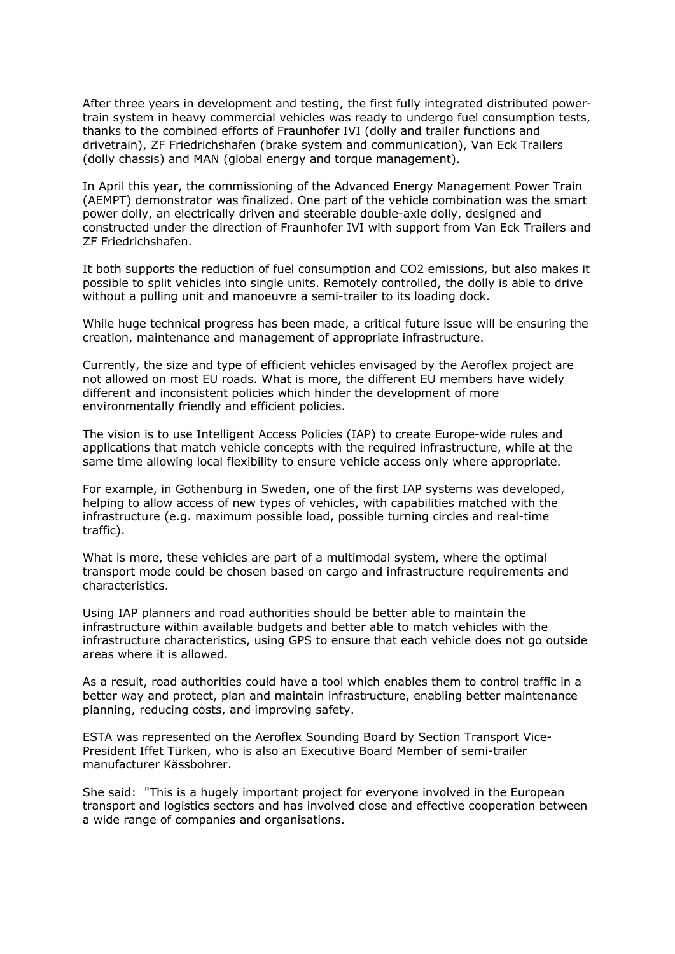After three years in development and testing, the first fully integrated distributed powertrain system in heavy commercial vehicles was ready to undergo fuel consumption tests, thanks to the combined efforts of Fraunhofer IVI (dolly and trailer functions and drivetrain), ZF Friedrichshafen (brake system and communication), Van Eck Trailers (dolly chassis) and MAN (global energy and torque management).

In April this year, the commissioning of the Advanced Energy Management Power Train (AEMPT) demonstrator was finalized. One part of the vehicle combination was the smart power dolly, an electrically driven and steerable double-axle dolly, designed and constructed under the direction of Fraunhofer IVI with support from Van Eck Trailers and ZF Friedrichshafen.

It both supports the reduction of fuel consumption and CO2 emissions, but also makes it possible to split vehicles into single units. Remotely controlled, the dolly is able to drive without a pulling unit and manoeuvre a semi-trailer to its loading dock.

While huge technical progress has been made, a critical future issue will be ensuring the creation, maintenance and management of appropriate infrastructure.

Currently, the size and type of efficient vehicles envisaged by the Aeroflex project are not allowed on most EU roads. What is more, the different EU members have widely different and inconsistent policies which hinder the development of more environmentally friendly and efficient policies.

The vision is to use Intelligent Access Policies (IAP) to create Europe-wide rules and applications that match vehicle concepts with the required infrastructure, while at the same time allowing local flexibility to ensure vehicle access only where appropriate.

For example, in Gothenburg in Sweden, one of the first IAP systems was developed, helping to allow access of new types of vehicles, with capabilities matched with the infrastructure (e.g. maximum possible load, possible turning circles and real-time traffic).

What is more, these vehicles are part of a multimodal system, where the optimal transport mode could be chosen based on cargo and infrastructure requirements and characteristics.

Using IAP planners and road authorities should be better able to maintain the infrastructure within available budgets and better able to match vehicles with the infrastructure characteristics, using GPS to ensure that each vehicle does not go outside areas where it is allowed.

As a result, road authorities could have a tool which enables them to control traffic in a better way and protect, plan and maintain infrastructure, enabling better maintenance planning, reducing costs, and improving safety.

ESTA was represented on the Aeroflex Sounding Board by Section Transport Vice-President Iffet Türken, who is also an Executive Board Member of semi-trailer manufacturer Kässbohrer.

She said: "This is a hugely important project for everyone involved in the European transport and logistics sectors and has involved close and effective cooperation between a wide range of companies and organisations.